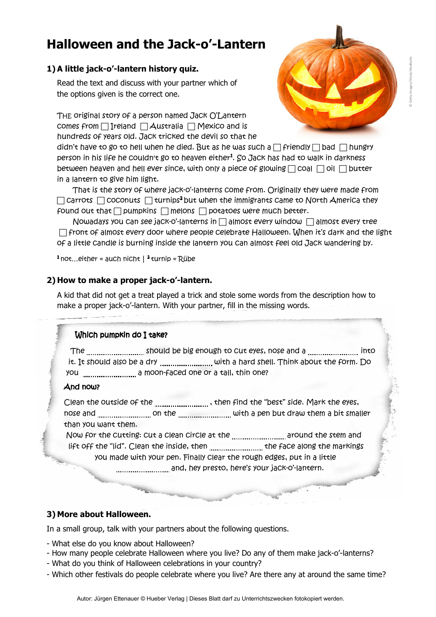# **Halloween and the he Jack-o'-Lantern**

# **1) A little jack-o'-lantern history quiz. history**

Read the text and discuss with your partner which of the options given is the correct one. the options given is the correct

*THE original story of a person named Jack O'Lantern comes from Ireland Australia original story of a person named Jack Australia Mexico and is* 

*hundreds of years old. Jack tricked the devil tricked the devil so that he didn't have to go to hell when he died. have to go to hell when he died. But as he was such a friendly bad hungry person in his life he couldn't go to heaven either go to heaven <sup>1</sup>. So Jack has had to walk walk in darkness between heaven and hell ever since, heaven and hell ever since, with only a piece of glowing coal coal oil butter in a lantern to give him light.* people are the same of the same of the same of the same of the same of the same of the same of the same of the same of the same of the same of the same of the same of the same of the same of the same of the same of the sam

*That is the story of where is the story of where jack-o'-lanterns come from. Originally they come from. Originally they were made from*   $□$  Carrots  $□$  coconuts  $□$  turnips<sup>2</sup> but when the immigrants came to North America they *found out that pumpkins melons potatoes were much better.* 

*Nowadays you can see jack jack-o'-lanterns in almost every window almost every tree front of almost every door of every door where people celebrate Halloween. When it's dark and the light of a little candle is burning inside inside the lantern you can almost feel old Jack wandering by. hen it's dark and the Jack wandering* 

*<sup>1</sup> not…either = auch nicht | <sup>2</sup> tur turnip = Rûbe* 

## **2) How to make a proper jack How to make jack-o'-lantern.**

A kid that did not get a treat played a trick and stole some words from the description how to A kid that did not get a treat played a trick and stole some words from the<br>make a proper jack-o'-lantern. With your partner, fill in the missing words.

#### *Which pumpkin do I take?*

 *The should be big enough to should be big enough to cut eyes, nose and a into it.* It should also be a dry ………………………… with a hard shell. Think about the form. Do  *you a moon a moon-faced one or a tall, thin one?* 

# *And now? And now?*

Clean the outside of the <sub>………………………. , then find the "best" side. Mark the eyes,</sub> *nose and on the on the with a pen but draw them raw them a bit smaller than you want them.* 

*Now for the cutting: cut a clean circle at the ................................. around the stem and lift off the "lid". Clean the inside, t Clean the inside, then the face along the markings the markings you made with your your pen. Finally clear the rough edges, put in a little , in a little*  festivals do celebrate where you live? Are there any at *Which pumpkin do I take?* 

 *and, hey presto, here's your jack-o'-lantern lantern.* 

### **3) More about Halloween.**

In a small group, talk with your partners about the following questions.

- What else do you know about Halloween?
- What else do you know about Halloween?<br>- How many people celebrate Halloween where you live? Do any of them make jack-o'-lanterns?
- What do you think of Halloween celebrations in your country?
- Which other festivals do people celebrate where you live? Are there any at around the same time?